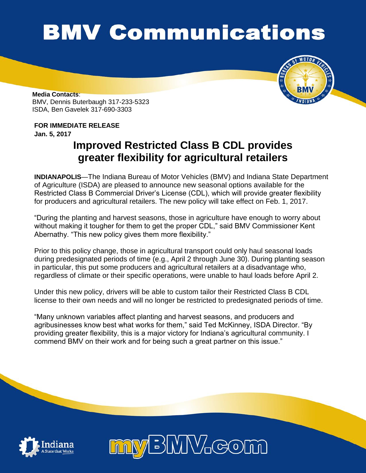## **BMV Communications**



**Media Contacts**: BMV, Dennis Buterbaugh 317-233-5323 ISDA, Ben Gavelek 317-690-3303

## **FOR IMMEDIATE RELEASE**

**Jan. 5, 2017**

## **Improved Restricted Class B CDL provides greater flexibility for agricultural retailers**

**INDIANAPOLIS**—The Indiana Bureau of Motor Vehicles (BMV) and Indiana State Department of Agriculture (ISDA) are pleased to announce new seasonal options available for the Restricted Class B Commercial Driver's License (CDL), which will provide greater flexibility for producers and agricultural retailers. The new policy will take effect on Feb. 1, 2017.

"During the planting and harvest seasons, those in agriculture have enough to worry about without making it tougher for them to get the proper CDL," said BMV Commissioner Kent Abernathy. "This new policy gives them more flexibility."

Prior to this policy change, those in agricultural transport could only haul seasonal loads during predesignated periods of time (e.g., April 2 through June 30). During planting season in particular, this put some producers and agricultural retailers at a disadvantage who, regardless of climate or their specific operations, were unable to haul loads before April 2.

Under this new policy, drivers will be able to custom tailor their Restricted Class B CDL license to their own needs and will no longer be restricted to predesignated periods of time.

"Many unknown variables affect planting and harvest seasons, and producers and agribusinesses know best what works for them," said Ted McKinney, ISDA Director. "By providing greater flexibility, this is a major victory for Indiana's agricultural community. I commend BMV on their work and for being such a great partner on this issue."